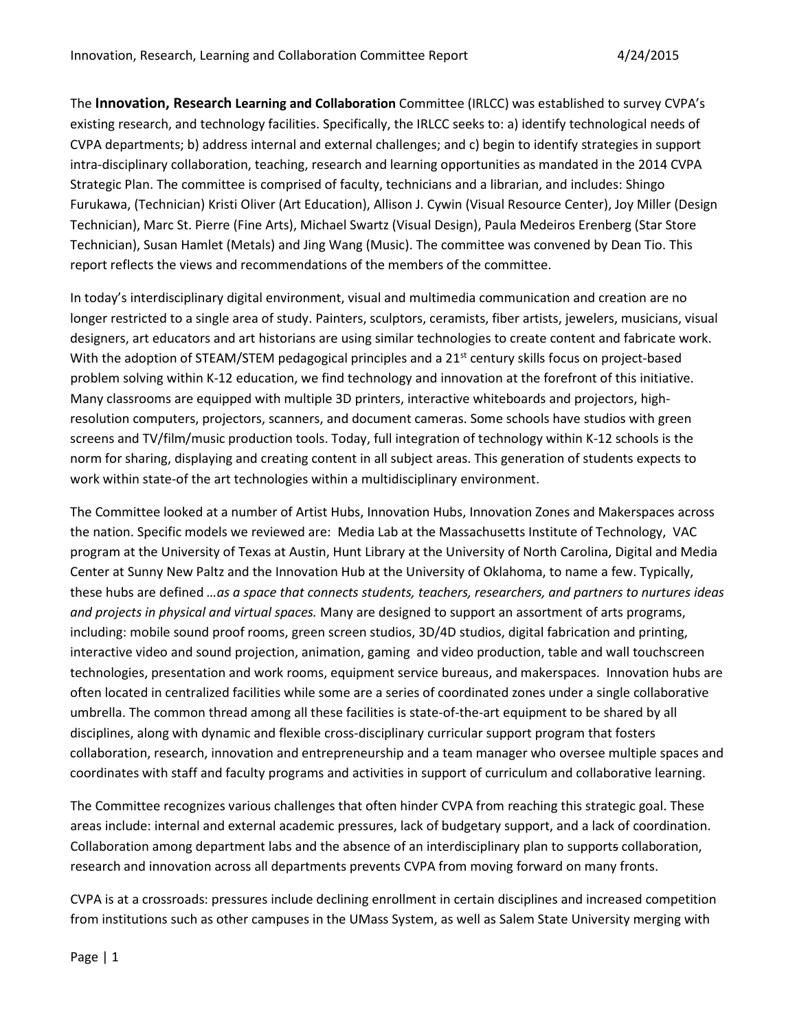The **Innovation, Research Learning and Collaboration** Committee (IRLCC) was established to survey CVPA's existing research, and technology facilities. Specifically, the IRLCC seeks to: a) identify technological needs of CVPA departments; b) address internal and external challenges; and c) begin to identify strategies in support intra-disciplinary collaboration, teaching, research and learning opportunities as mandated in the 2014 CVPA Strategic Plan. The committee is comprised of faculty, technicians and a librarian, and includes: Shingo Furukawa, (Technician) Kristi Oliver (Art Education), Allison J. Cywin (Visual Resource Center), Joy Miller (Design Technician), Marc St. Pierre (Fine Arts), Michael Swartz (Visual Design), Paula Medeiros Erenberg (Star Store Technician), Susan Hamlet (Metals) and Jing Wang (Music). The committee was convened by Dean Tio. This report reflects the views and recommendations of the members of the committee.

In today's interdisciplinary digital environment, visual and multimedia communication and creation are no longer restricted to a single area of study. Painters, sculptors, ceramists, fiber artists, jewelers, musicians, visual designers, art educators and art historians are using similar technologies to create content and fabricate work. With the adoption of STEAM/STEM pedagogical principles and a 21<sup>st</sup> century skills focus on project-based problem solving within K-12 education, we find technology and innovation at the forefront of this initiative. Many classrooms are equipped with multiple 3D printers, interactive whiteboards and projectors, highresolution computers, projectors, scanners, and document cameras. Some schools have studios with green screens and TV/film/music production tools. Today, full integration of technology within K-12 schools is the norm for sharing, displaying and creating content in all subject areas. This generation of students expects to work within state-of the art technologies within a multidisciplinary environment.

The Committee looked at a number of Artist Hubs, Innovation Hubs, Innovation Zones and Makerspaces across the nation. Specific models we reviewed are: Media Lab at the Massachusetts Institute of Technology, VAC program at the University of Texas at Austin, Hunt Library at the University of North Carolina, Digital and Media Center at Sunny New Paltz and the Innovation Hub at the University of Oklahoma, to name a few. Typically, these hubs are defined *…as a space that connects students, teachers, researchers, and partners to nurtures ideas and projects in physical and virtual spaces.* Many are designed to support an assortment of arts programs, including: mobile sound proof rooms, green screen studios, 3D/4D studios, digital fabrication and printing, interactive video and sound projection, animation, gaming and video production, table and wall touchscreen technologies, presentation and work rooms, equipment service bureaus, and makerspaces. Innovation hubs are often located in centralized facilities while some are a series of coordinated zones under a single collaborative umbrella. The common thread among all these facilities is state-of-the-art equipment to be shared by all disciplines, along with dynamic and flexible cross-disciplinary curricular support program that fosters collaboration, research, innovation and entrepreneurship and a team manager who oversee multiple spaces and coordinates with staff and faculty programs and activities in support of curriculum and collaborative learning.

The Committee recognizes various challenges that often hinder CVPA from reaching this strategic goal. These areas include: internal and external academic pressures, lack of budgetary support, and a lack of coordination. Collaboration among department labs and the absence of an interdisciplinary plan to supports collaboration, research and innovation across all departments prevents CVPA from moving forward on many fronts.

CVPA is at a crossroads: pressures include declining enrollment in certain disciplines and increased competition from institutions such as other campuses in the UMass System, as well as Salem State University merging with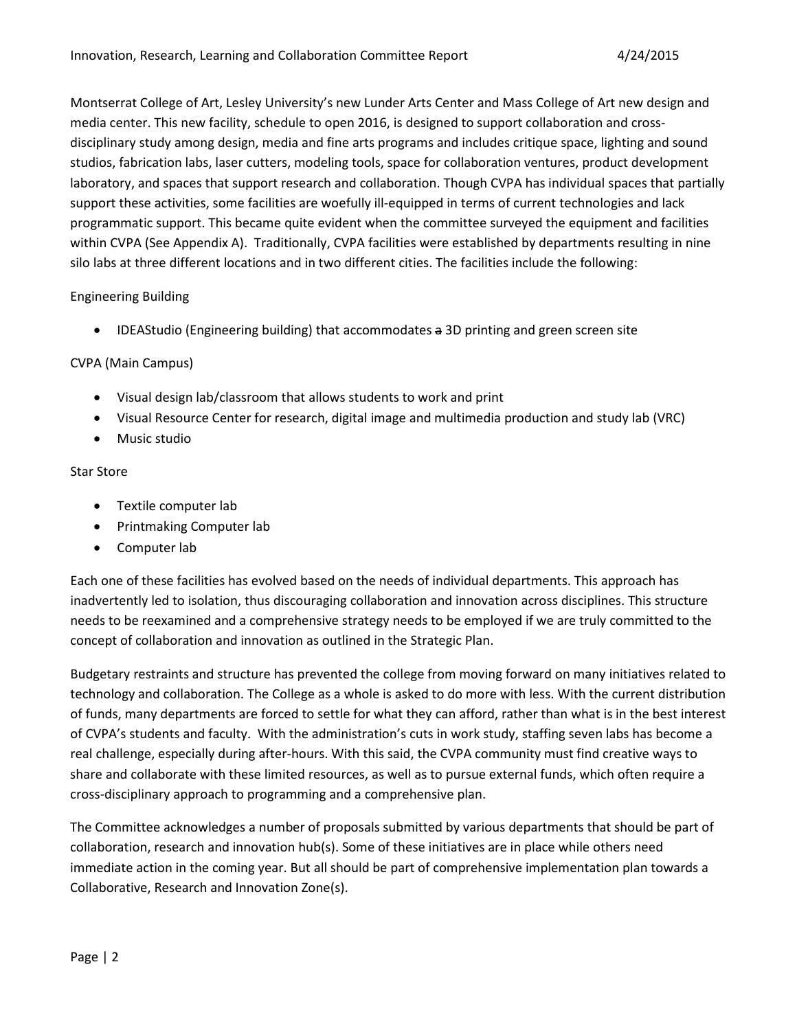Montserrat College of Art, Lesley University's new Lunder Arts Center and Mass College of Art new design and media center. This new facility, schedule to open 2016, is designed to support collaboration and crossdisciplinary study among design, media and fine arts programs and includes critique space, lighting and sound studios, fabrication labs, laser cutters, modeling tools, space for collaboration ventures, product development laboratory, and spaces that support research and collaboration. Though CVPA has individual spaces that partially support these activities, some facilities are woefully ill-equipped in terms of current technologies and lack programmatic support. This became quite evident when the committee surveyed the equipment and facilities within CVPA (See Appendix A). Traditionally, CVPA facilities were established by departments resulting in nine silo labs at three different locations and in two different cities. The facilities include the following:

## Engineering Building

• IDEAStudio (Engineering building) that accommodates a 3D printing and green screen site

## CVPA (Main Campus)

- Visual design lab/classroom that allows students to work and print
- Visual Resource Center for research, digital image and multimedia production and study lab (VRC)
- Music studio

#### Star Store

- Textile computer lab
- Printmaking Computer lab
- Computer lab

Each one of these facilities has evolved based on the needs of individual departments. This approach has inadvertently led to isolation, thus discouraging collaboration and innovation across disciplines. This structure needs to be reexamined and a comprehensive strategy needs to be employed if we are truly committed to the concept of collaboration and innovation as outlined in the Strategic Plan.

Budgetary restraints and structure has prevented the college from moving forward on many initiatives related to technology and collaboration. The College as a whole is asked to do more with less. With the current distribution of funds, many departments are forced to settle for what they can afford, rather than what is in the best interest of CVPA's students and faculty. With the administration's cuts in work study, staffing seven labs has become a real challenge, especially during after-hours. With this said, the CVPA community must find creative ways to share and collaborate with these limited resources, as well as to pursue external funds, which often require a cross-disciplinary approach to programming and a comprehensive plan.

The Committee acknowledges a number of proposals submitted by various departments that should be part of collaboration, research and innovation hub(s). Some of these initiatives are in place while others need immediate action in the coming year. But all should be part of comprehensive implementation plan towards a Collaborative, Research and Innovation Zone(s).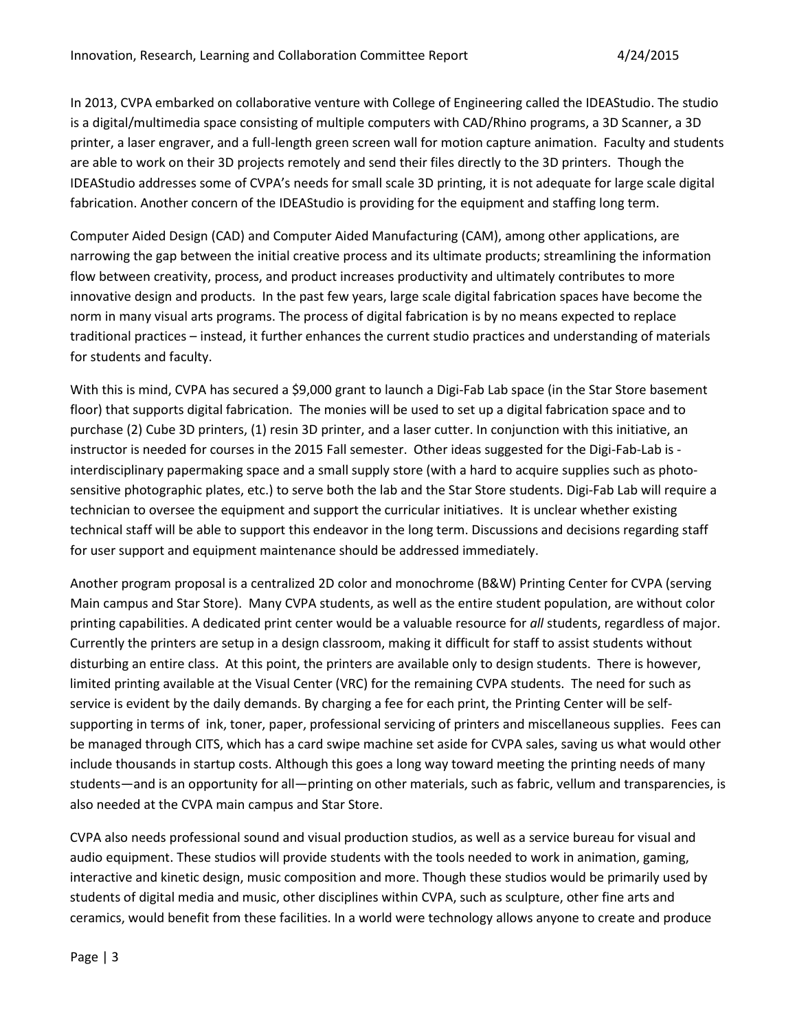In 2013, CVPA embarked on collaborative venture with College of Engineering called the IDEAStudio. The studio is a digital/multimedia space consisting of multiple computers with CAD/Rhino programs, a 3D Scanner, a 3D printer, a laser engraver, and a full-length green screen wall for motion capture animation. Faculty and students are able to work on their 3D projects remotely and send their files directly to the 3D printers. Though the IDEAStudio addresses some of CVPA's needs for small scale 3D printing, it is not adequate for large scale digital fabrication. Another concern of the IDEAStudio is providing for the equipment and staffing long term.

Computer Aided Design (CAD) and Computer Aided Manufacturing (CAM), among other applications, are narrowing the gap between the initial creative process and its ultimate products; streamlining the information flow between creativity, process, and product increases productivity and ultimately contributes to more innovative design and products. In the past few years, large scale digital fabrication spaces have become the norm in many visual arts programs. The process of digital fabrication is by no means expected to replace traditional practices – instead, it further enhances the current studio practices and understanding of materials for students and faculty.

With this is mind, CVPA has secured a \$9,000 grant to launch a Digi-Fab Lab space (in the Star Store basement floor) that supports digital fabrication. The monies will be used to set up a digital fabrication space and to purchase (2) Cube 3D printers, (1) resin 3D printer, and a laser cutter. In conjunction with this initiative, an instructor is needed for courses in the 2015 Fall semester. Other ideas suggested for the Digi-Fab-Lab is interdisciplinary papermaking space and a small supply store (with a hard to acquire supplies such as photosensitive photographic plates, etc.) to serve both the lab and the Star Store students. Digi-Fab Lab will require a technician to oversee the equipment and support the curricular initiatives. It is unclear whether existing technical staff will be able to support this endeavor in the long term. Discussions and decisions regarding staff for user support and equipment maintenance should be addressed immediately.

Another program proposal is a centralized 2D color and monochrome (B&W) Printing Center for CVPA (serving Main campus and Star Store). Many CVPA students, as well as the entire student population, are without color printing capabilities. A dedicated print center would be a valuable resource for *all* students, regardless of major. Currently the printers are setup in a design classroom, making it difficult for staff to assist students without disturbing an entire class. At this point, the printers are available only to design students. There is however, limited printing available at the Visual Center (VRC) for the remaining CVPA students. The need for such as service is evident by the daily demands. By charging a fee for each print, the Printing Center will be selfsupporting in terms of ink, toner, paper, professional servicing of printers and miscellaneous supplies. Fees can be managed through CITS, which has a card swipe machine set aside for CVPA sales, saving us what would other include thousands in startup costs. Although this goes a long way toward meeting the printing needs of many students—and is an opportunity for all—printing on other materials, such as fabric, vellum and transparencies, is also needed at the CVPA main campus and Star Store.

CVPA also needs professional sound and visual production studios, as well as a service bureau for visual and audio equipment. These studios will provide students with the tools needed to work in animation, gaming, interactive and kinetic design, music composition and more. Though these studios would be primarily used by students of digital media and music, other disciplines within CVPA, such as sculpture, other fine arts and ceramics, would benefit from these facilities. In a world were technology allows anyone to create and produce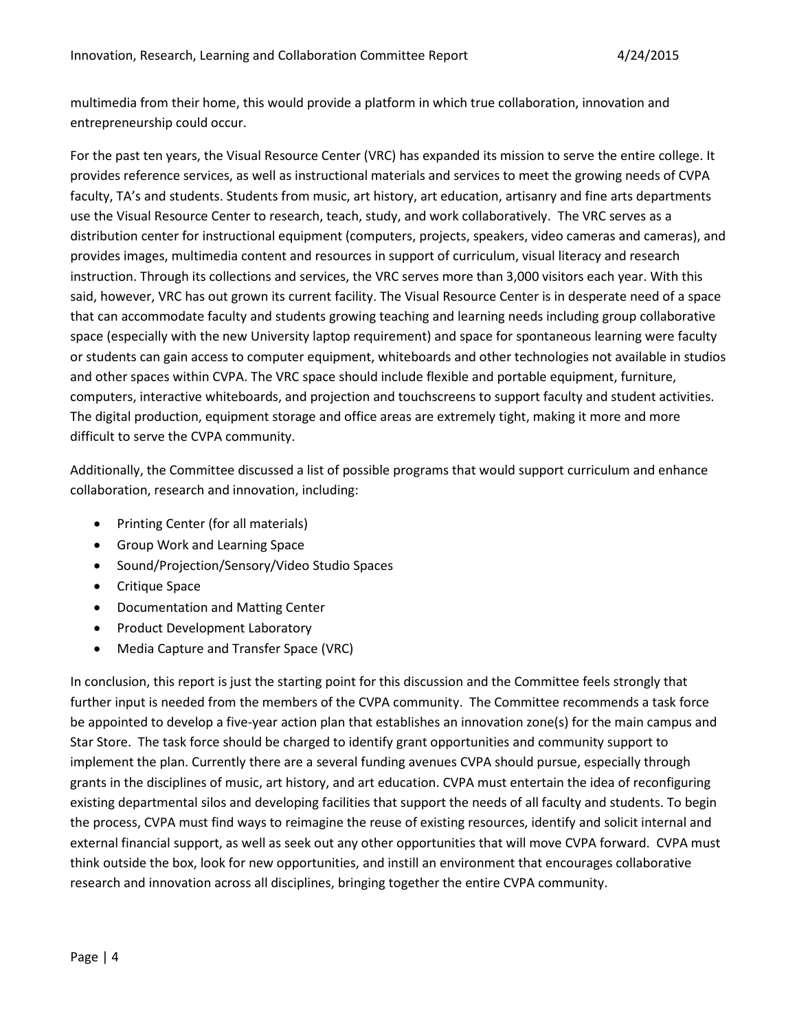multimedia from their home, this would provide a platform in which true collaboration, innovation and entrepreneurship could occur.

For the past ten years, the Visual Resource Center (VRC) has expanded its mission to serve the entire college. It provides reference services, as well as instructional materials and services to meet the growing needs of CVPA faculty, TA's and students. Students from music, art history, art education, artisanry and fine arts departments use the Visual Resource Center to research, teach, study, and work collaboratively. The VRC serves as a distribution center for instructional equipment (computers, projects, speakers, video cameras and cameras), and provides images, multimedia content and resources in support of curriculum, visual literacy and research instruction. Through its collections and services, the VRC serves more than 3,000 visitors each year. With this said, however, VRC has out grown its current facility. The Visual Resource Center is in desperate need of a space that can accommodate faculty and students growing teaching and learning needs including group collaborative space (especially with the new University laptop requirement) and space for spontaneous learning were faculty or students can gain access to computer equipment, whiteboards and other technologies not available in studios and other spaces within CVPA. The VRC space should include flexible and portable equipment, furniture, computers, interactive whiteboards, and projection and touchscreens to support faculty and student activities. The digital production, equipment storage and office areas are extremely tight, making it more and more difficult to serve the CVPA community.

Additionally, the Committee discussed a list of possible programs that would support curriculum and enhance collaboration, research and innovation, including:

- Printing Center (for all materials)
- Group Work and Learning Space
- Sound/Projection/Sensory/Video Studio Spaces
- Critique Space
- Documentation and Matting Center
- Product Development Laboratory
- Media Capture and Transfer Space (VRC)

In conclusion, this report is just the starting point for this discussion and the Committee feels strongly that further input is needed from the members of the CVPA community. The Committee recommends a task force be appointed to develop a five-year action plan that establishes an innovation zone(s) for the main campus and Star Store. The task force should be charged to identify grant opportunities and community support to implement the plan. Currently there are a several funding avenues CVPA should pursue, especially through grants in the disciplines of music, art history, and art education. CVPA must entertain the idea of reconfiguring existing departmental silos and developing facilities that support the needs of all faculty and students. To begin the process, CVPA must find ways to reimagine the reuse of existing resources, identify and solicit internal and external financial support, as well as seek out any other opportunities that will move CVPA forward. CVPA must think outside the box, look for new opportunities, and instill an environment that encourages collaborative research and innovation across all disciplines, bringing together the entire CVPA community.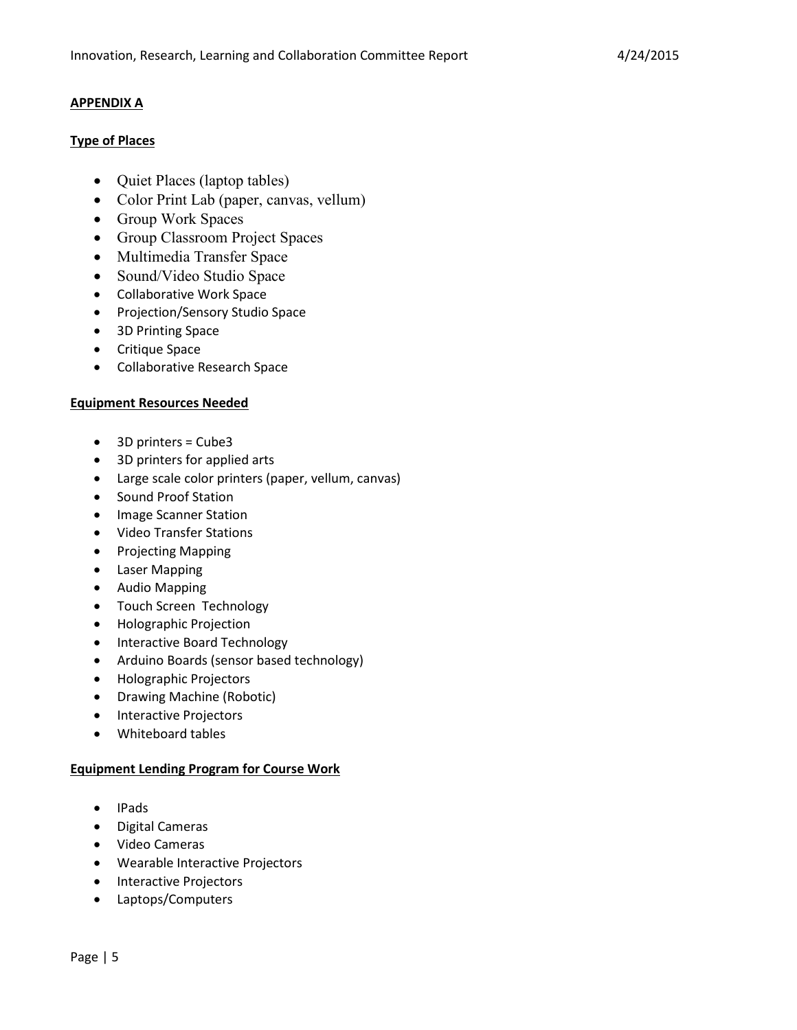## **APPENDIX A**

## **Type of Places**

- Quiet Places (laptop tables)
- Color Print Lab (paper, canvas, vellum)
- Group Work Spaces
- Group Classroom Project Spaces
- Multimedia Transfer Space
- Sound/Video Studio Space
- Collaborative Work Space
- Projection/Sensory Studio Space
- 3D Printing Space
- Critique Space
- Collaborative Research Space

#### **Equipment Resources Needed**

- 3D printers = Cube3
- 3D printers for applied arts
- Large scale color printers (paper, vellum, canvas)
- Sound Proof Station
- Image Scanner Station
- Video Transfer Stations
- Projecting Mapping
- Laser Mapping
- Audio Mapping
- Touch Screen Technology
- Holographic Projection
- Interactive Board Technology
- Arduino Boards (sensor based technology)
- Holographic Projectors
- Drawing Machine (Robotic)
- Interactive Projectors
- Whiteboard tables

#### **Equipment Lending Program for Course Work**

- IPads
- Digital Cameras
- Video Cameras
- Wearable Interactive Projectors
- Interactive Projectors
- Laptops/Computers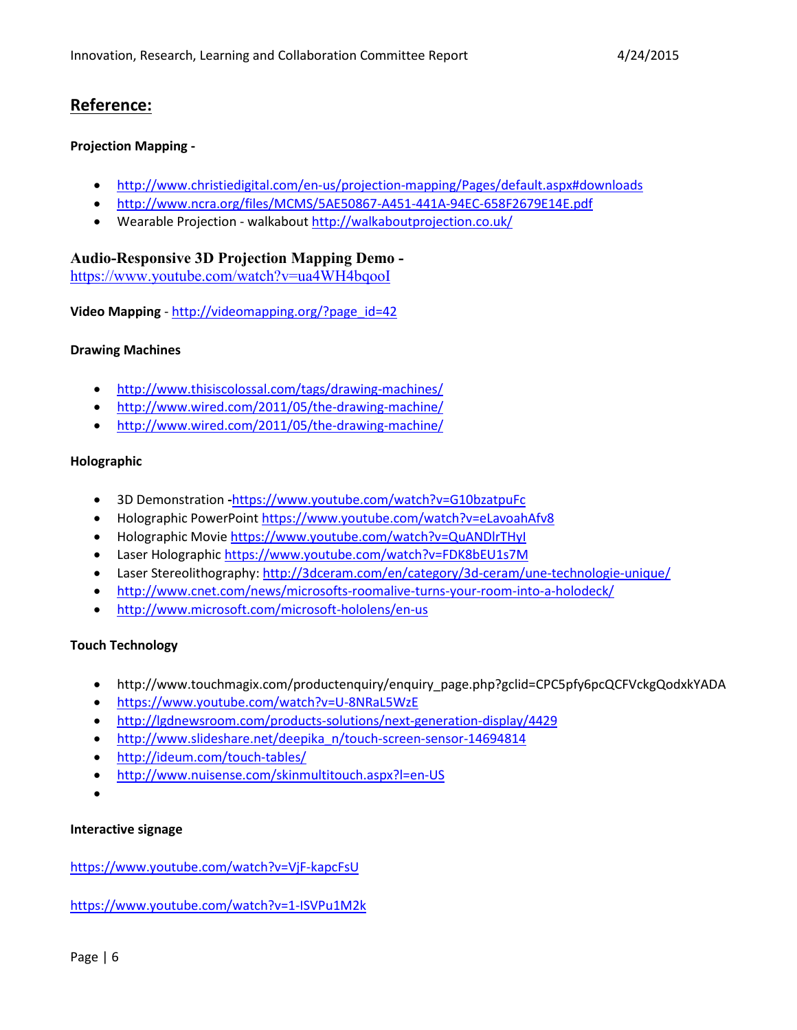# **Reference:**

## **Projection Mapping -**

- <http://www.christiedigital.com/en-us/projection-mapping/Pages/default.aspx#downloads>
- <http://www.ncra.org/files/MCMS/5AE50867-A451-441A-94EC-658F2679E14E.pdf>
- Wearable Projection walkabou[t http://walkaboutprojection.co.uk/](http://walkaboutprojection.co.uk/)

## **Audio-Responsive 3D Projection Mapping Demo -**

<https://www.youtube.com/watch?v=ua4WH4bqooI>

**Video Mapping** - [http://videomapping.org/?page\\_id=42](http://videomapping.org/?page_id=42)

## **Drawing Machines**

- <http://www.thisiscolossal.com/tags/drawing-machines/>
- <http://www.wired.com/2011/05/the-drawing-machine/>
- <http://www.wired.com/2011/05/the-drawing-machine/>

## **Holographic**

- 3D Demonstration **-**<https://www.youtube.com/watch?v=G10bzatpuFc>
- Holographic PowerPoint<https://www.youtube.com/watch?v=eLavoahAfv8>
- Holographic Movie https://www.youtube.com/watch?v=QuANDlrTHyl
- Laser Holographi[c https://www.youtube.com/watch?v=FDK8bEU1s7M](https://www.youtube.com/watch?v=FDK8bEU1s7M)
- Laser Stereolithography:<http://3dceram.com/en/category/3d-ceram/une-technologie-unique/>
- <http://www.cnet.com/news/microsofts-roomalive-turns-your-room-into-a-holodeck/>
- <http://www.microsoft.com/microsoft-hololens/en-us>

#### **Touch Technology**

- http://www.touchmagix.com/productenquiry/enquiry\_page.php?gclid=CPC5pfy6pcQCFVckgQodxkYADA
- <https://www.youtube.com/watch?v=U-8NRaL5WzE>
- <http://lgdnewsroom.com/products-solutions/next-generation-display/4429>
- [http://www.slideshare.net/deepika\\_n/touch-screen-sensor-14694814](http://www.slideshare.net/deepika_n/touch-screen-sensor-14694814)
- <http://ideum.com/touch-tables/>
- <http://www.nuisense.com/skinmultitouch.aspx?l=en-US>
- •

#### **Interactive signage**

<https://www.youtube.com/watch?v=VjF-kapcFsU>

<https://www.youtube.com/watch?v=1-ISVPu1M2k>